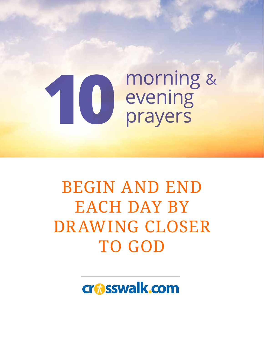# morning & evening **10** prayers

# BEGIN AND END EACH DAY BY DRAWING CLOSER TO GOD

crasswalk.com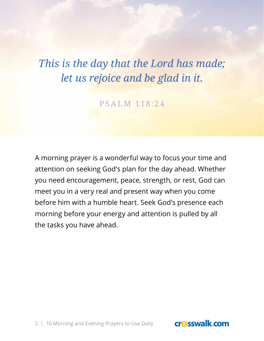# *This is the day that the Lord has made; let us rejoice and be glad in it.*

PSALM 118:24

A morning prayer is a wonderful way to focus your time and attention on seeking God's plan for the day ahead. Whether you need encouragement, peace, strength, or rest, God can meet you in a very real and present way when you come before him with a humble heart. Seek God's presence each morning before your energy and attention is pulled by all the tasks you have ahead.

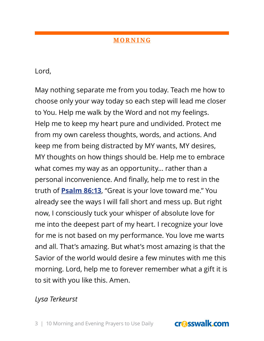Lord,

May nothing separate me from you today. Teach me how to choose only your way today so each step will lead me closer to You. Help me walk by the Word and not my feelings. Help me to keep my heart pure and undivided. Protect me from my own careless thoughts, words, and actions. And keep me from being distracted by MY wants, MY desires, MY thoughts on how things should be. Help me to embrace what comes my way as an opportunity... rather than a personal inconvenience. And finally, help me to rest in the truth of **Psalm 86:13**, "Great is your love toward me." You already see the ways I will fall short and mess up. But right now, I consciously tuck your whisper of absolute love for me into the deepest part of my heart. I recognize your love for me is not based on my performance. You love me warts and all. That's amazing. But what's most amazing is that the Savior of the world would desire a few minutes with me this morning. Lord, help me to forever remember what a gift it is to sit with you like this. Amen.

### *Lysa Terkeurst*

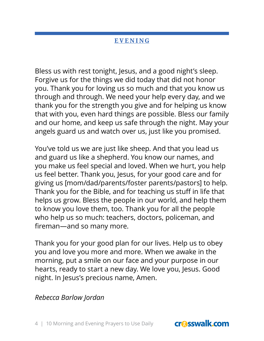Bless us with rest tonight, Jesus, and a good night's sleep. Forgive us for the things we did today that did not honor you. Thank you for loving us so much and that you know us through and through. We need your help every day, and we thank you for the strength you give and for helping us know that with you, even hard things are possible. Bless our family and our home, and keep us safe through the night. May your angels guard us and watch over us, just like you promised.

You've told us we are just like sheep. And that you lead us and guard us like a shepherd. You know our names, and you make us feel special and loved. When we hurt, you help us feel better. Thank you, Jesus, for your good care and for giving us [mom/dad/parents/foster parents/pastors] to help. Thank you for the Bible, and for teaching us stuff in life that helps us grow. Bless the people in our world, and help them to know you love them, too. Thank you for all the people who help us so much: teachers, doctors, policeman, and fireman—and so many more.

Thank you for your good plan for our lives. Help us to obey you and love you more and more. When we awake in the morning, put a smile on our face and your purpose in our hearts, ready to start a new day. We love you, Jesus. Good night. In Jesus's precious name, Amen.

### *Rebecca Barlow Jordan*

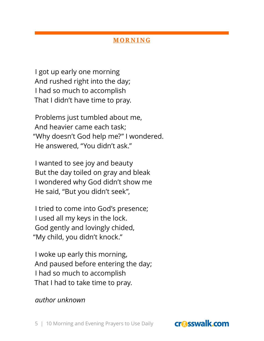I got up early one morning And rushed right into the day; I had so much to accomplish That I didn't have time to pray.

Problems just tumbled about me, And heavier came each task; "Why doesn't God help me?" I wondered. He answered, "You didn't ask."

I wanted to see joy and beauty But the day toiled on gray and bleak I wondered why God didn't show me He said, "But you didn't seek",

I tried to come into God's presence; I used all my keys in the lock. God gently and lovingly chided, "My child, you didn't knock."

I woke up early this morning, And paused before entering the day; I had so much to accomplish That I had to take time to pray.

### *author unknown*

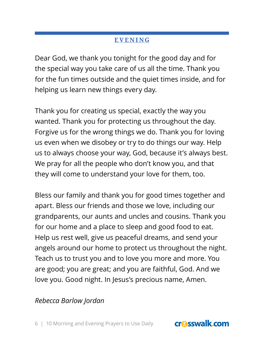Dear God, we thank you tonight for the good day and for the special way you take care of us all the time. Thank you for the fun times outside and the quiet times inside, and for helping us learn new things every day.

Thank you for creating us special, exactly the way you wanted. Thank you for protecting us throughout the day. Forgive us for the wrong things we do. Thank you for loving us even when we disobey or try to do things our way. Help us to always choose your way, God, because it's always best. We pray for all the people who don't know you, and that they will come to understand your love for them, too.

Bless our family and thank you for good times together and apart. Bless our friends and those we love, including our grandparents, our aunts and uncles and cousins. Thank you for our home and a place to sleep and good food to eat. Help us rest well, give us peaceful dreams, and send your angels around our home to protect us throughout the night. Teach us to trust you and to love you more and more. You are good; you are great; and you are faithful, God. And we love you. Good night. In Jesus's precious name, Amen.

### *Rebecca Barlow Jordan*

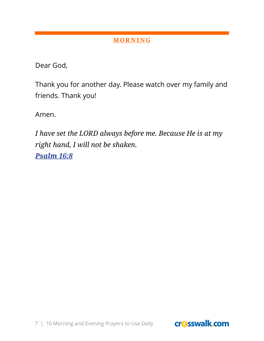Dear God,

Thank you for another day. Please watch over my family and friends. Thank you!

Amen.

*I have set the LORD always before me. Because He is at my right hand, I will not be shaken. Psalm 16:8*

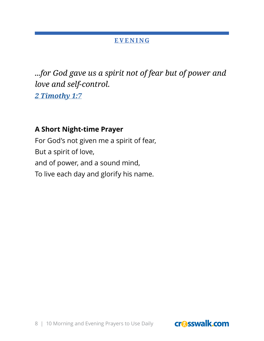*...for God gave us a spirit not of fear but of power and love and self-control. 2 Timothy 1:7*

### **A Short Night-time Prayer**

For God's not given me a spirit of fear, But a spirit of love, and of power, and a sound mind, To live each day and glorify his name.

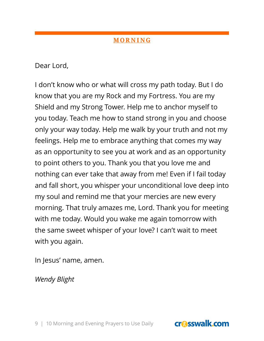Dear Lord,

I don't know who or what will cross my path today. But I do know that you are my Rock and my Fortress. You are my Shield and my Strong Tower. Help me to anchor myself to you today. Teach me how to stand strong in you and choose only your way today. Help me walk by your truth and not my feelings. Help me to embrace anything that comes my way as an opportunity to see you at work and as an opportunity to point others to you. Thank you that you love me and nothing can ever take that away from me! Even if I fail today and fall short, you whisper your unconditional love deep into my soul and remind me that your mercies are new every morning. That truly amazes me, Lord. Thank you for meeting with me today. Would you wake me again tomorrow with the same sweet whisper of your love? I can't wait to meet with you again.

In Jesus' name, amen.

*Wendy Blight*

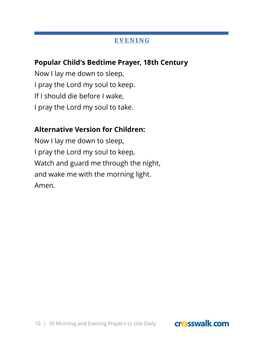### **Popular Child's Bedtime Prayer, 18th Century**

Now I lay me down to sleep, I pray the Lord my soul to keep. If I should die before I wake, I pray the Lord my soul to take.

### **Alternative Version for Children:**

Now I lay me down to sleep, I pray the Lord my soul to keep, Watch and guard me through the night, and wake me with the morning light. Amen.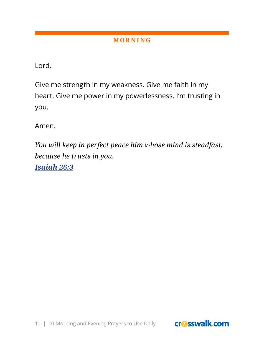Lord,

Give me strength in my weakness. Give me faith in my heart. Give me power in my powerlessness. I'm trusting in you.

Amen.

*You will keep in perfect peace him whose mind is steadfast, because he trusts in you.*

*Isaiah 26:3*

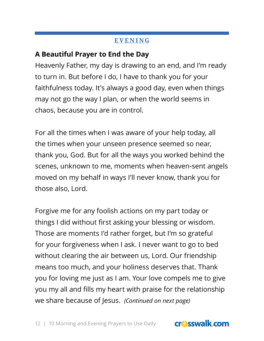### **A Beautiful Prayer to End the Day**

Heavenly Father, my day is drawing to an end, and I'm ready to turn in. But before I do, I have to thank you for your faithfulness today. It's always a good day, even when things may not go the way I plan, or when the world seems in chaos, because you are in control.

For all the times when I was aware of your help today, all the times when your unseen presence seemed so near, thank you, God. But for all the ways you worked behind the scenes, unknown to me, moments when heaven-sent angels moved on my behalf in ways I'll never know, thank you for those also, Lord.

Forgive me for any foolish actions on my part today or things I did without first asking your blessing or wisdom. Those are moments I'd rather forget, but I'm so grateful for your forgiveness when I ask. I never want to go to bed without clearing the air between us, Lord. Our friendship means too much, and your holiness deserves that. Thank you for loving me just as I am. Your love compels me to give you my all and fills my heart with praise for the relationship we share because of Jesus. *(Continued on next page)*

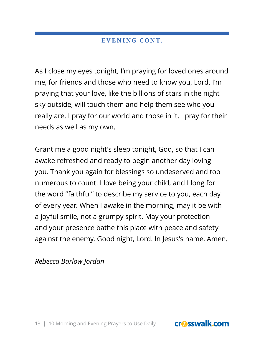### **EVENING CONT.**

As I close my eyes tonight, I'm praying for loved ones around me, for friends and those who need to know you, Lord. I'm praying that your love, like the billions of stars in the night sky outside, will touch them and help them see who you really are. I pray for our world and those in it. I pray for their needs as well as my own.

Grant me a good night's sleep tonight, God, so that I can awake refreshed and ready to begin another day loving you. Thank you again for blessings so undeserved and too numerous to count. I love being your child, and I long for the word "faithful" to describe my service to you, each day of every year. When I awake in the morning, may it be with a joyful smile, not a grumpy spirit. May your protection and your presence bathe this place with peace and safety against the enemy. Good night, Lord. In Jesus's name, Amen.

*Rebecca Barlow Jordan*

13 | 10 Morning and Evening Prayers to Use Daily

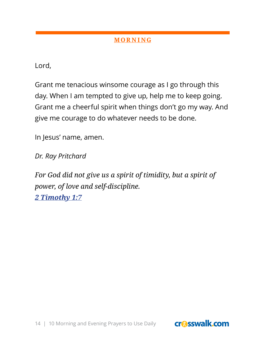Lord,

Grant me tenacious winsome courage as I go through this day. When I am tempted to give up, help me to keep going. Grant me a cheerful spirit when things don't go my way. And give me courage to do whatever needs to be done.

In Jesus' name, amen.

*Dr. Ray Pritchard*

*For God did not give us a spirit of timidity, but a spirit of power, of love and self-discipline. 2 Timothy 1:7*

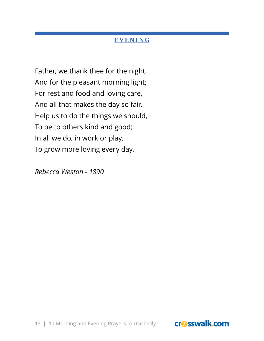Father, we thank thee for the night, And for the pleasant morning light; For rest and food and loving care, And all that makes the day so fair. Help us to do the things we should, To be to others kind and good; In all we do, in work or play, To grow more loving every day.

*Rebecca Weston - 1890*

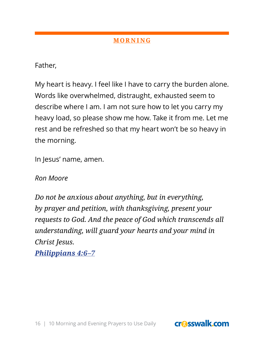Father,

My heart is heavy. I feel like I have to carry the burden alone. Words like overwhelmed, distraught, exhausted seem to describe where I am. I am not sure how to let you carry my heavy load, so please show me how. Take it from me. Let me rest and be refreshed so that my heart won't be so heavy in the morning.

In Jesus' name, amen.

*Ron Moore*

*Do not be anxious about anything, but in everything, by prayer and petition, with thanksgiving, present your requests to God. And the peace of God which transcends all understanding, will guard your hearts and your mind in Christ Jesus.*

*Philippians 4:6–7*

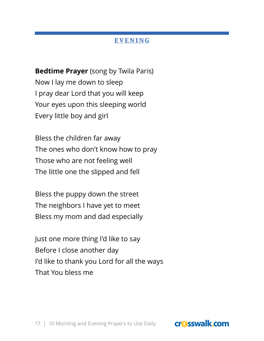**Bedtime Prayer** (song by Twila Paris) Now I lay me down to sleep I pray dear Lord that you will keep Your eyes upon this sleeping world Every little boy and girl

Bless the children far away The ones who don't know how to pray Those who are not feeling well The little one the slipped and fell

Bless the puppy down the street The neighbors I have yet to meet Bless my mom and dad especially

Just one more thing I'd like to say Before I close another day I'd like to thank you Lord for all the ways That You bless me



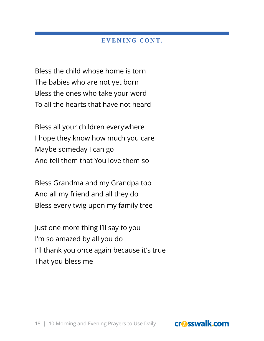### **EVENING CONT.**

Bless the child whose home is torn The babies who are not yet born Bless the ones who take your word To all the hearts that have not heard

Bless all your children everywhere I hope they know how much you care Maybe someday I can go And tell them that You love them so

Bless Grandma and my Grandpa too And all my friend and all they do Bless every twig upon my family tree

Just one more thing I'll say to you I'm so amazed by all you do I'll thank you once again because it's true That you bless me

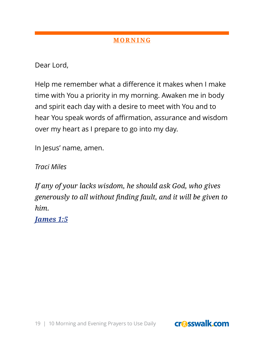Dear Lord,

Help me remember what a difference it makes when I make time with You a priority in my morning. Awaken me in body and spirit each day with a desire to meet with You and to hear You speak words of affirmation, assurance and wisdom over my heart as I prepare to go into my day.

In Jesus' name, amen.

*Traci Miles*

*If any of your lacks wisdom, he should ask God, who gives generously to all without finding fault, and it will be given to him.*

*James 1:5*

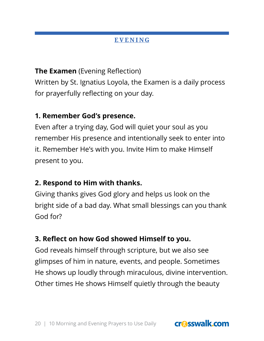**The Examen** (Evening Reflection) Written by St. Ignatius Loyola, the Examen is a daily process for prayerfully reflecting on your day.

### **1. Remember God's presence.**

Even after a trying day, God will quiet your soul as you remember His presence and intentionally seek to enter into it. Remember He's with you. Invite Him to make Himself present to you.

### **2. Respond to Him with thanks.**

Giving thanks gives God glory and helps us look on the bright side of a bad day. What small blessings can you thank God for?

### **3. Reflect on how God showed Himself to you.**

God reveals himself through scripture, but we also see glimpses of him in nature, events, and people. Sometimes He shows up loudly through miraculous, divine intervention. Other times He shows Himself quietly through the beauty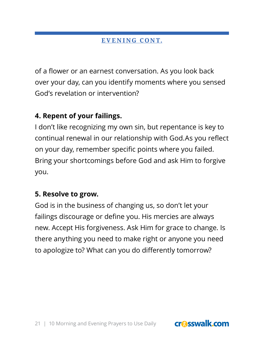### **EVENING CONT.**

of a flower or an earnest conversation. As you look back over your day, can you identify moments where you sensed God's revelation or intervention?

### **4. Repent of your failings.**

I don't like recognizing my own sin, but repentance is key to continual renewal in our relationship with God.As you reflect on your day, remember specific points where you failed. Bring your shortcomings before God and ask Him to forgive you.

### **5. Resolve to grow.**

God is in the business of changing us, so don't let your failings discourage or define you. His mercies are always new. Accept His forgiveness. Ask Him for grace to change. Is there anything you need to make right or anyone you need to apologize to? What can you do differently tomorrow?

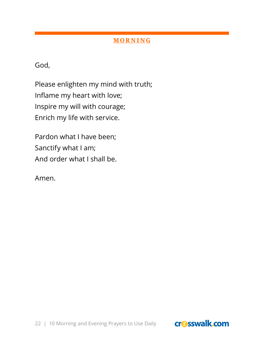God,

Please enlighten my mind with truth; Inflame my heart with love; Inspire my will with courage; Enrich my life with service.

Pardon what I have been; Sanctify what I am; And order what I shall be.

Amen.



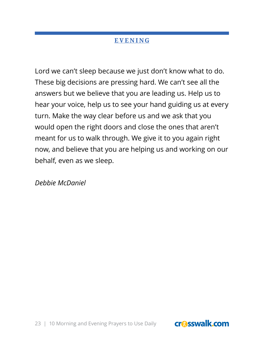Lord we can't sleep because we just don't know what to do. These big decisions are pressing hard. We can't see all the answers but we believe that you are leading us. Help us to hear your voice, help us to see your hand guiding us at every turn. Make the way clear before us and we ask that you would open the right doors and close the ones that aren't meant for us to walk through. We give it to you again right now, and believe that you are helping us and working on our behalf, even as we sleep.

*Debbie McDaniel*



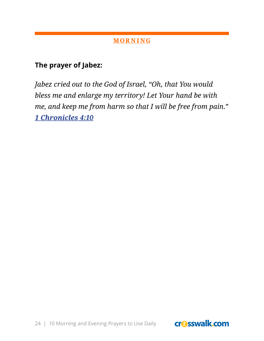### **The prayer of Jabez:**

*Jabez cried out to the God of Israel, "Oh, that You would bless me and enlarge my territory! Let Your hand be with me, and keep me from harm so that I will be free from pain." 1 Chronicles 4:10*

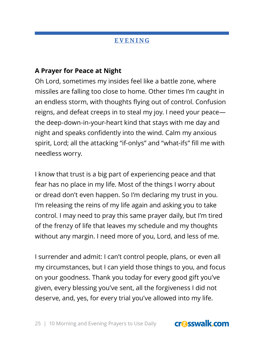### **A Prayer for Peace at Night**

Oh Lord, sometimes my insides feel like a battle zone, where missiles are falling too close to home. Other times I'm caught in an endless storm, with thoughts flying out of control. Confusion reigns, and defeat creeps in to steal my joy. I need your peace the deep-down-in-your-heart kind that stays with me day and night and speaks confidently into the wind. Calm my anxious spirit, Lord; all the attacking "if-onlys" and "what-ifs" fill me with needless worry.

I know that trust is a big part of experiencing peace and that fear has no place in my life. Most of the things I worry about or dread don't even happen. So I'm declaring my trust in you. I'm releasing the reins of my life again and asking you to take control. I may need to pray this same prayer daily, but I'm tired of the frenzy of life that leaves my schedule and my thoughts without any margin. I need more of you, Lord, and less of me.

I surrender and admit: I can't control people, plans, or even all my circumstances, but I can yield those things to you, and focus on your goodness. Thank you today for every good gift you've given, every blessing you've sent, all the forgiveness I did not deserve, and, yes, for every trial you've allowed into my life.

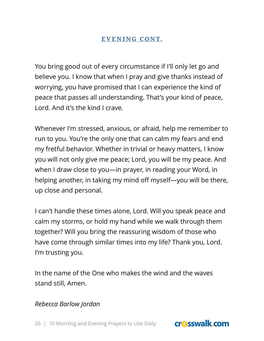### **EVENING CONT.**

You bring good out of every circumstance if I'll only let go and believe you. I know that when I pray and give thanks instead of worrying, you have promised that I can experience the kind of peace that passes all understanding. That's your kind of peace, Lord. And it's the kind I crave.

Whenever I'm stressed, anxious, or afraid, help me remember to run to you. You're the only one that can calm my fears and end my fretful behavior. Whether in trivial or heavy matters, I know you will not only give me peace; Lord, you will be my peace. And when I draw close to you—in prayer, in reading your Word, in helping another, in taking my mind off myself—you will be there, up close and personal.

I can't handle these times alone, Lord. Will you speak peace and calm my storms, or hold my hand while we walk through them together? Will you bring the reassuring wisdom of those who have come through similar times into my life? Thank you, Lord. I'm trusting you.

In the name of the One who makes the wind and the waves stand still, Amen.

*Rebecca Barlow Jordan*